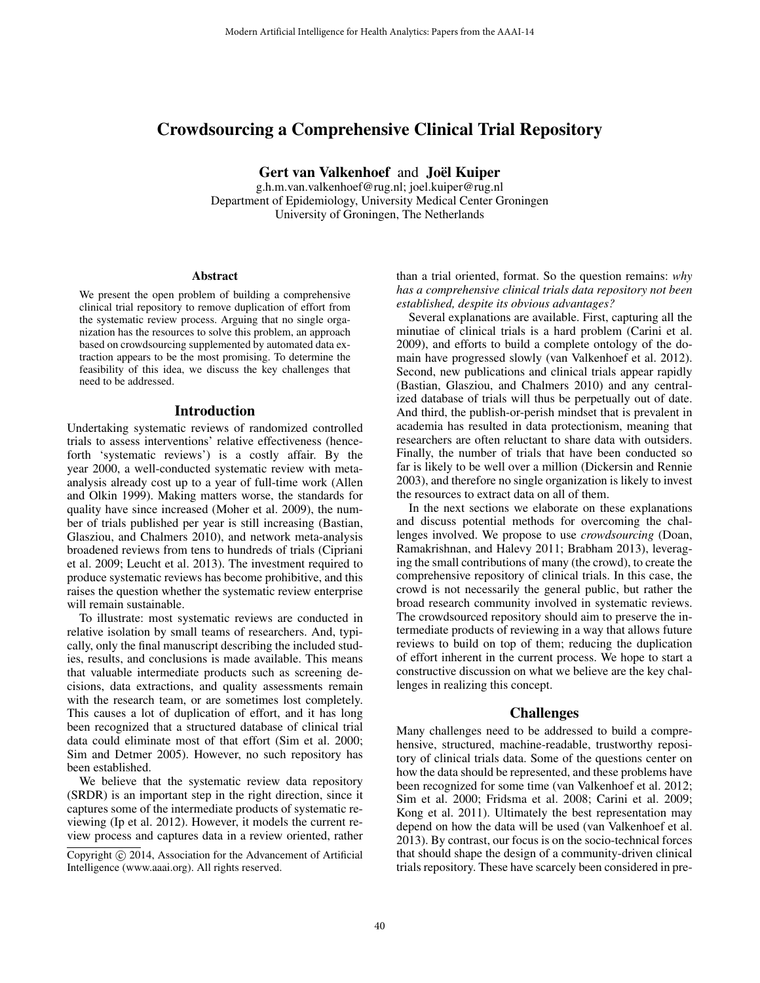# Crowdsourcing a Comprehensive Clinical Trial Repository

Gert van Valkenhoef and Joël Kuiper

g.h.m.van.valkenhoef@rug.nl; joel.kuiper@rug.nl Department of Epidemiology, University Medical Center Groningen University of Groningen, The Netherlands

#### Abstract

We present the open problem of building a comprehensive clinical trial repository to remove duplication of effort from the systematic review process. Arguing that no single organization has the resources to solve this problem, an approach based on crowdsourcing supplemented by automated data extraction appears to be the most promising. To determine the feasibility of this idea, we discuss the key challenges that need to be addressed.

## Introduction

Undertaking systematic reviews of randomized controlled trials to assess interventions' relative effectiveness (henceforth 'systematic reviews') is a costly affair. By the year 2000, a well-conducted systematic review with metaanalysis already cost up to a year of full-time work (Allen and Olkin 1999). Making matters worse, the standards for quality have since increased (Moher et al. 2009), the number of trials published per year is still increasing (Bastian, Glasziou, and Chalmers 2010), and network meta-analysis broadened reviews from tens to hundreds of trials (Cipriani et al. 2009; Leucht et al. 2013). The investment required to produce systematic reviews has become prohibitive, and this raises the question whether the systematic review enterprise will remain sustainable.

To illustrate: most systematic reviews are conducted in relative isolation by small teams of researchers. And, typically, only the final manuscript describing the included studies, results, and conclusions is made available. This means that valuable intermediate products such as screening decisions, data extractions, and quality assessments remain with the research team, or are sometimes lost completely. This causes a lot of duplication of effort, and it has long been recognized that a structured database of clinical trial data could eliminate most of that effort (Sim et al. 2000; Sim and Detmer 2005). However, no such repository has been established.

We believe that the systematic review data repository (SRDR) is an important step in the right direction, since it captures some of the intermediate products of systematic reviewing (Ip et al. 2012). However, it models the current review process and captures data in a review oriented, rather

than a trial oriented, format. So the question remains: *why has a comprehensive clinical trials data repository not been established, despite its obvious advantages?*

Several explanations are available. First, capturing all the minutiae of clinical trials is a hard problem (Carini et al. 2009), and efforts to build a complete ontology of the domain have progressed slowly (van Valkenhoef et al. 2012). Second, new publications and clinical trials appear rapidly (Bastian, Glasziou, and Chalmers 2010) and any centralized database of trials will thus be perpetually out of date. And third, the publish-or-perish mindset that is prevalent in academia has resulted in data protectionism, meaning that researchers are often reluctant to share data with outsiders. Finally, the number of trials that have been conducted so far is likely to be well over a million (Dickersin and Rennie 2003), and therefore no single organization is likely to invest the resources to extract data on all of them.

In the next sections we elaborate on these explanations and discuss potential methods for overcoming the challenges involved. We propose to use *crowdsourcing* (Doan, Ramakrishnan, and Halevy 2011; Brabham 2013), leveraging the small contributions of many (the crowd), to create the comprehensive repository of clinical trials. In this case, the crowd is not necessarily the general public, but rather the broad research community involved in systematic reviews. The crowdsourced repository should aim to preserve the intermediate products of reviewing in a way that allows future reviews to build on top of them; reducing the duplication of effort inherent in the current process. We hope to start a constructive discussion on what we believe are the key challenges in realizing this concept.

## Challenges

Many challenges need to be addressed to build a comprehensive, structured, machine-readable, trustworthy repository of clinical trials data. Some of the questions center on how the data should be represented, and these problems have been recognized for some time (van Valkenhoef et al. 2012; Sim et al. 2000; Fridsma et al. 2008; Carini et al. 2009; Kong et al. 2011). Ultimately the best representation may depend on how the data will be used (van Valkenhoef et al. 2013). By contrast, our focus is on the socio-technical forces that should shape the design of a community-driven clinical trials repository. These have scarcely been considered in pre-

Copyright (c) 2014, Association for the Advancement of Artificial Intelligence (www.aaai.org). All rights reserved.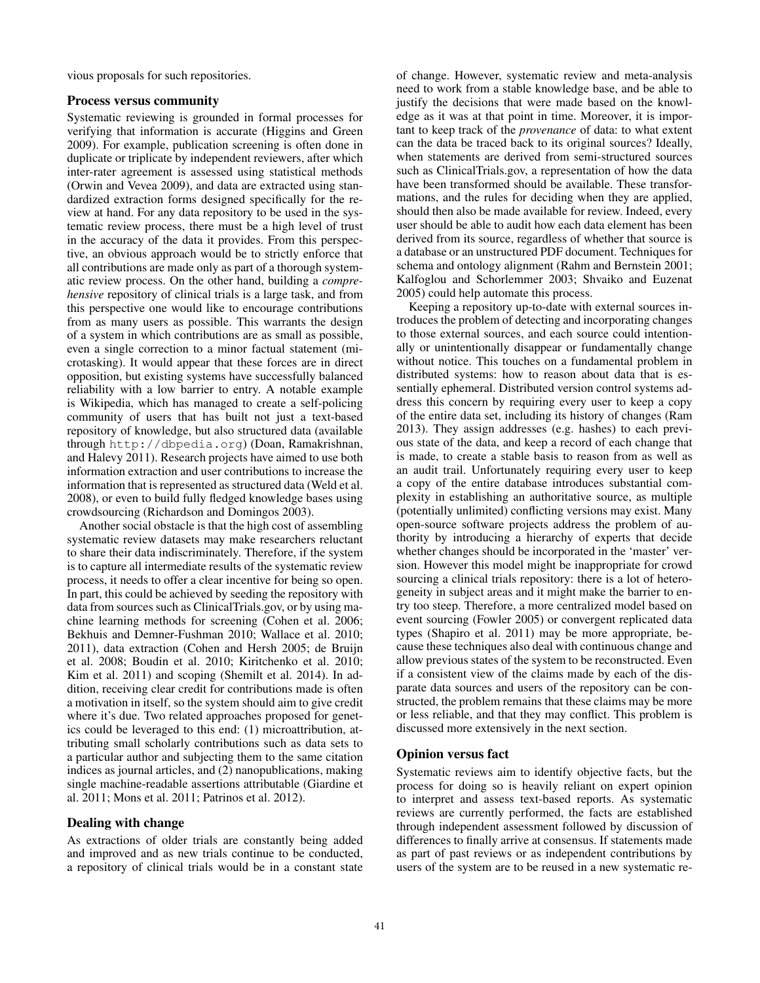vious proposals for such repositories.

## Process versus community

Systematic reviewing is grounded in formal processes for verifying that information is accurate (Higgins and Green 2009). For example, publication screening is often done in duplicate or triplicate by independent reviewers, after which inter-rater agreement is assessed using statistical methods (Orwin and Vevea 2009), and data are extracted using standardized extraction forms designed specifically for the review at hand. For any data repository to be used in the systematic review process, there must be a high level of trust in the accuracy of the data it provides. From this perspective, an obvious approach would be to strictly enforce that all contributions are made only as part of a thorough systematic review process. On the other hand, building a *comprehensive* repository of clinical trials is a large task, and from this perspective one would like to encourage contributions from as many users as possible. This warrants the design of a system in which contributions are as small as possible, even a single correction to a minor factual statement (microtasking). It would appear that these forces are in direct opposition, but existing systems have successfully balanced reliability with a low barrier to entry. A notable example is Wikipedia, which has managed to create a self-policing community of users that has built not just a text-based repository of knowledge, but also structured data (available through http://dbpedia.org) (Doan, Ramakrishnan, and Halevy 2011). Research projects have aimed to use both information extraction and user contributions to increase the information that is represented as structured data (Weld et al. 2008), or even to build fully fledged knowledge bases using crowdsourcing (Richardson and Domingos 2003).

Another social obstacle is that the high cost of assembling systematic review datasets may make researchers reluctant to share their data indiscriminately. Therefore, if the system is to capture all intermediate results of the systematic review process, it needs to offer a clear incentive for being so open. In part, this could be achieved by seeding the repository with data from sources such as ClinicalTrials.gov, or by using machine learning methods for screening (Cohen et al. 2006; Bekhuis and Demner-Fushman 2010; Wallace et al. 2010; 2011), data extraction (Cohen and Hersh 2005; de Bruijn et al. 2008; Boudin et al. 2010; Kiritchenko et al. 2010; Kim et al. 2011) and scoping (Shemilt et al. 2014). In addition, receiving clear credit for contributions made is often a motivation in itself, so the system should aim to give credit where it's due. Two related approaches proposed for genetics could be leveraged to this end: (1) microattribution, attributing small scholarly contributions such as data sets to a particular author and subjecting them to the same citation indices as journal articles, and (2) nanopublications, making single machine-readable assertions attributable (Giardine et al. 2011; Mons et al. 2011; Patrinos et al. 2012).

## Dealing with change

As extractions of older trials are constantly being added and improved and as new trials continue to be conducted, a repository of clinical trials would be in a constant state of change. However, systematic review and meta-analysis need to work from a stable knowledge base, and be able to justify the decisions that were made based on the knowledge as it was at that point in time. Moreover, it is important to keep track of the *provenance* of data: to what extent can the data be traced back to its original sources? Ideally, when statements are derived from semi-structured sources such as ClinicalTrials.gov, a representation of how the data have been transformed should be available. These transformations, and the rules for deciding when they are applied, should then also be made available for review. Indeed, every user should be able to audit how each data element has been derived from its source, regardless of whether that source is a database or an unstructured PDF document. Techniques for schema and ontology alignment (Rahm and Bernstein 2001; Kalfoglou and Schorlemmer 2003; Shvaiko and Euzenat 2005) could help automate this process.

Keeping a repository up-to-date with external sources introduces the problem of detecting and incorporating changes to those external sources, and each source could intentionally or unintentionally disappear or fundamentally change without notice. This touches on a fundamental problem in distributed systems: how to reason about data that is essentially ephemeral. Distributed version control systems address this concern by requiring every user to keep a copy of the entire data set, including its history of changes (Ram 2013). They assign addresses (e.g. hashes) to each previous state of the data, and keep a record of each change that is made, to create a stable basis to reason from as well as an audit trail. Unfortunately requiring every user to keep a copy of the entire database introduces substantial complexity in establishing an authoritative source, as multiple (potentially unlimited) conflicting versions may exist. Many open-source software projects address the problem of authority by introducing a hierarchy of experts that decide whether changes should be incorporated in the 'master' version. However this model might be inappropriate for crowd sourcing a clinical trials repository: there is a lot of heterogeneity in subject areas and it might make the barrier to entry too steep. Therefore, a more centralized model based on event sourcing (Fowler 2005) or convergent replicated data types (Shapiro et al. 2011) may be more appropriate, because these techniques also deal with continuous change and allow previous states of the system to be reconstructed. Even if a consistent view of the claims made by each of the disparate data sources and users of the repository can be constructed, the problem remains that these claims may be more or less reliable, and that they may conflict. This problem is discussed more extensively in the next section.

## Opinion versus fact

Systematic reviews aim to identify objective facts, but the process for doing so is heavily reliant on expert opinion to interpret and assess text-based reports. As systematic reviews are currently performed, the facts are established through independent assessment followed by discussion of differences to finally arrive at consensus. If statements made as part of past reviews or as independent contributions by users of the system are to be reused in a new systematic re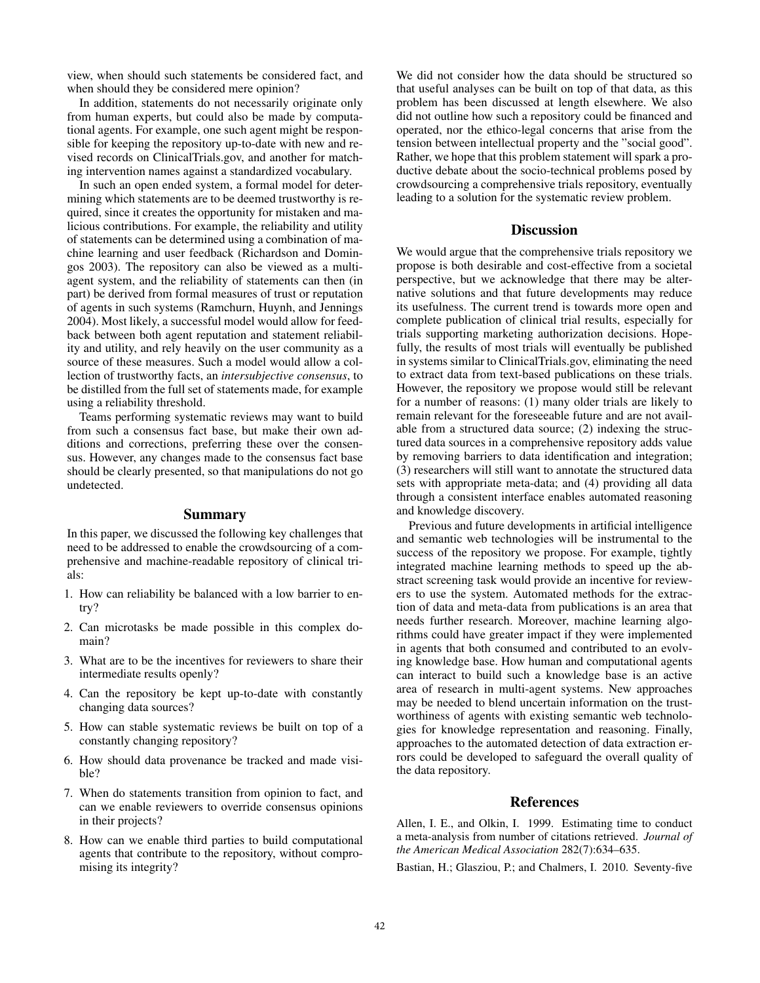view, when should such statements be considered fact, and when should they be considered mere opinion?

In addition, statements do not necessarily originate only from human experts, but could also be made by computational agents. For example, one such agent might be responsible for keeping the repository up-to-date with new and revised records on ClinicalTrials.gov, and another for matching intervention names against a standardized vocabulary.

In such an open ended system, a formal model for determining which statements are to be deemed trustworthy is required, since it creates the opportunity for mistaken and malicious contributions. For example, the reliability and utility of statements can be determined using a combination of machine learning and user feedback (Richardson and Domingos 2003). The repository can also be viewed as a multiagent system, and the reliability of statements can then (in part) be derived from formal measures of trust or reputation of agents in such systems (Ramchurn, Huynh, and Jennings 2004). Most likely, a successful model would allow for feedback between both agent reputation and statement reliability and utility, and rely heavily on the user community as a source of these measures. Such a model would allow a collection of trustworthy facts, an *intersubjective consensus*, to be distilled from the full set of statements made, for example using a reliability threshold.

Teams performing systematic reviews may want to build from such a consensus fact base, but make their own additions and corrections, preferring these over the consensus. However, any changes made to the consensus fact base should be clearly presented, so that manipulations do not go undetected.

## Summary

In this paper, we discussed the following key challenges that need to be addressed to enable the crowdsourcing of a comprehensive and machine-readable repository of clinical trials:

- 1. How can reliability be balanced with a low barrier to entry?
- 2. Can microtasks be made possible in this complex domain?
- 3. What are to be the incentives for reviewers to share their intermediate results openly?
- 4. Can the repository be kept up-to-date with constantly changing data sources?
- 5. How can stable systematic reviews be built on top of a constantly changing repository?
- 6. How should data provenance be tracked and made visible?
- 7. When do statements transition from opinion to fact, and can we enable reviewers to override consensus opinions in their projects?
- 8. How can we enable third parties to build computational agents that contribute to the repository, without compromising its integrity?

We did not consider how the data should be structured so that useful analyses can be built on top of that data, as this problem has been discussed at length elsewhere. We also did not outline how such a repository could be financed and operated, nor the ethico-legal concerns that arise from the tension between intellectual property and the "social good". Rather, we hope that this problem statement will spark a productive debate about the socio-technical problems posed by crowdsourcing a comprehensive trials repository, eventually leading to a solution for the systematic review problem.

#### **Discussion**

We would argue that the comprehensive trials repository we propose is both desirable and cost-effective from a societal perspective, but we acknowledge that there may be alternative solutions and that future developments may reduce its usefulness. The current trend is towards more open and complete publication of clinical trial results, especially for trials supporting marketing authorization decisions. Hopefully, the results of most trials will eventually be published in systems similar to ClinicalTrials.gov, eliminating the need to extract data from text-based publications on these trials. However, the repository we propose would still be relevant for a number of reasons: (1) many older trials are likely to remain relevant for the foreseeable future and are not available from a structured data source; (2) indexing the structured data sources in a comprehensive repository adds value by removing barriers to data identification and integration; (3) researchers will still want to annotate the structured data sets with appropriate meta-data; and (4) providing all data through a consistent interface enables automated reasoning and knowledge discovery.

Previous and future developments in artificial intelligence and semantic web technologies will be instrumental to the success of the repository we propose. For example, tightly integrated machine learning methods to speed up the abstract screening task would provide an incentive for reviewers to use the system. Automated methods for the extraction of data and meta-data from publications is an area that needs further research. Moreover, machine learning algorithms could have greater impact if they were implemented in agents that both consumed and contributed to an evolving knowledge base. How human and computational agents can interact to build such a knowledge base is an active area of research in multi-agent systems. New approaches may be needed to blend uncertain information on the trustworthiness of agents with existing semantic web technologies for knowledge representation and reasoning. Finally, approaches to the automated detection of data extraction errors could be developed to safeguard the overall quality of the data repository.

#### References

Allen, I. E., and Olkin, I. 1999. Estimating time to conduct a meta-analysis from number of citations retrieved. *Journal of the American Medical Association* 282(7):634–635.

Bastian, H.; Glasziou, P.; and Chalmers, I. 2010. Seventy-five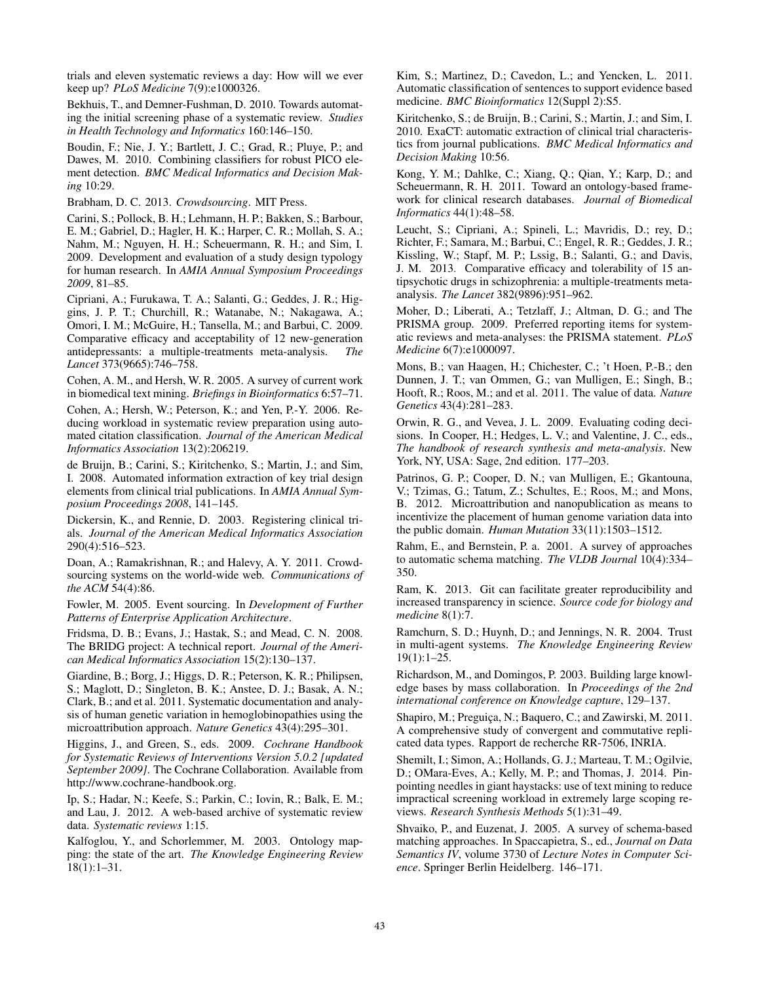trials and eleven systematic reviews a day: How will we ever keep up? *PLoS Medicine* 7(9):e1000326.

Bekhuis, T., and Demner-Fushman, D. 2010. Towards automating the initial screening phase of a systematic review. *Studies in Health Technology and Informatics* 160:146–150.

Boudin, F.; Nie, J. Y.; Bartlett, J. C.; Grad, R.; Pluye, P.; and Dawes, M. 2010. Combining classifiers for robust PICO element detection. *BMC Medical Informatics and Decision Making* 10:29.

Brabham, D. C. 2013. *Crowdsourcing*. MIT Press.

Carini, S.; Pollock, B. H.; Lehmann, H. P.; Bakken, S.; Barbour, E. M.; Gabriel, D.; Hagler, H. K.; Harper, C. R.; Mollah, S. A.; Nahm, M.; Nguyen, H. H.; Scheuermann, R. H.; and Sim, I. 2009. Development and evaluation of a study design typology for human research. In *AMIA Annual Symposium Proceedings 2009*, 81–85.

Cipriani, A.; Furukawa, T. A.; Salanti, G.; Geddes, J. R.; Higgins, J. P. T.; Churchill, R.; Watanabe, N.; Nakagawa, A.; Omori, I. M.; McGuire, H.; Tansella, M.; and Barbui, C. 2009. Comparative efficacy and acceptability of 12 new-generation antidepressants: a multiple-treatments meta-analysis. *The Lancet* 373(9665):746–758.

Cohen, A. M., and Hersh, W. R. 2005. A survey of current work in biomedical text mining. *Briefings in Bioinformatics* 6:57–71.

Cohen, A.; Hersh, W.; Peterson, K.; and Yen, P.-Y. 2006. Reducing workload in systematic review preparation using automated citation classification. *Journal of the American Medical Informatics Association* 13(2):206219.

de Bruijn, B.; Carini, S.; Kiritchenko, S.; Martin, J.; and Sim, I. 2008. Automated information extraction of key trial design elements from clinical trial publications. In *AMIA Annual Symposium Proceedings 2008*, 141–145.

Dickersin, K., and Rennie, D. 2003. Registering clinical trials. *Journal of the American Medical Informatics Association* 290(4):516–523.

Doan, A.; Ramakrishnan, R.; and Halevy, A. Y. 2011. Crowdsourcing systems on the world-wide web. *Communications of the ACM* 54(4):86.

Fowler, M. 2005. Event sourcing. In *Development of Further Patterns of Enterprise Application Architecture*.

Fridsma, D. B.; Evans, J.; Hastak, S.; and Mead, C. N. 2008. The BRIDG project: A technical report. *Journal of the American Medical Informatics Association* 15(2):130–137.

Giardine, B.; Borg, J.; Higgs, D. R.; Peterson, K. R.; Philipsen, S.; Maglott, D.; Singleton, B. K.; Anstee, D. J.; Basak, A. N.; Clark, B.; and et al. 2011. Systematic documentation and analysis of human genetic variation in hemoglobinopathies using the microattribution approach. *Nature Genetics* 43(4):295–301.

Higgins, J., and Green, S., eds. 2009. *Cochrane Handbook for Systematic Reviews of Interventions Version 5.0.2 [updated September 2009]*. The Cochrane Collaboration. Available from http://www.cochrane-handbook.org.

Ip, S.; Hadar, N.; Keefe, S.; Parkin, C.; Iovin, R.; Balk, E. M.; and Lau, J. 2012. A web-based archive of systematic review data. *Systematic reviews* 1:15.

Kalfoglou, Y., and Schorlemmer, M. 2003. Ontology mapping: the state of the art. *The Knowledge Engineering Review* 18(1):1–31.

Kim, S.; Martinez, D.; Cavedon, L.; and Yencken, L. 2011. Automatic classification of sentences to support evidence based medicine. *BMC Bioinformatics* 12(Suppl 2):S5.

Kiritchenko, S.; de Bruijn, B.; Carini, S.; Martin, J.; and Sim, I. 2010. ExaCT: automatic extraction of clinical trial characteristics from journal publications. *BMC Medical Informatics and Decision Making* 10:56.

Kong, Y. M.; Dahlke, C.; Xiang, Q.; Qian, Y.; Karp, D.; and Scheuermann, R. H. 2011. Toward an ontology-based framework for clinical research databases. *Journal of Biomedical Informatics* 44(1):48–58.

Leucht, S.; Cipriani, A.; Spineli, L.; Mavridis, D.; rey, D.; Richter, F.; Samara, M.; Barbui, C.; Engel, R. R.; Geddes, J. R.; Kissling, W.; Stapf, M. P.; Lssig, B.; Salanti, G.; and Davis, J. M. 2013. Comparative efficacy and tolerability of 15 antipsychotic drugs in schizophrenia: a multiple-treatments metaanalysis. *The Lancet* 382(9896):951–962.

Moher, D.; Liberati, A.; Tetzlaff, J.; Altman, D. G.; and The PRISMA group. 2009. Preferred reporting items for systematic reviews and meta-analyses: the PRISMA statement. *PLoS Medicine* 6(7):e1000097.

Mons, B.; van Haagen, H.; Chichester, C.; 't Hoen, P.-B.; den Dunnen, J. T.; van Ommen, G.; van Mulligen, E.; Singh, B.; Hooft, R.; Roos, M.; and et al. 2011. The value of data. *Nature Genetics* 43(4):281–283.

Orwin, R. G., and Vevea, J. L. 2009. Evaluating coding decisions. In Cooper, H.; Hedges, L. V.; and Valentine, J. C., eds., *The handbook of research synthesis and meta-analysis*. New York, NY, USA: Sage, 2nd edition. 177–203.

Patrinos, G. P.; Cooper, D. N.; van Mulligen, E.; Gkantouna, V.; Tzimas, G.; Tatum, Z.; Schultes, E.; Roos, M.; and Mons, B. 2012. Microattribution and nanopublication as means to incentivize the placement of human genome variation data into the public domain. *Human Mutation* 33(11):1503–1512.

Rahm, E., and Bernstein, P. a. 2001. A survey of approaches to automatic schema matching. *The VLDB Journal* 10(4):334– 350.

Ram, K. 2013. Git can facilitate greater reproducibility and increased transparency in science. *Source code for biology and medicine* 8(1):7.

Ramchurn, S. D.; Huynh, D.; and Jennings, N. R. 2004. Trust in multi-agent systems. *The Knowledge Engineering Review* 19(1):1–25.

Richardson, M., and Domingos, P. 2003. Building large knowledge bases by mass collaboration. In *Proceedings of the 2nd international conference on Knowledge capture*, 129–137.

Shapiro, M.; Preguiça, N.; Baquero, C.; and Zawirski, M. 2011. A comprehensive study of convergent and commutative replicated data types. Rapport de recherche RR-7506, INRIA.

Shemilt, I.; Simon, A.; Hollands, G. J.; Marteau, T. M.; Ogilvie, D.; OMara-Eves, A.; Kelly, M. P.; and Thomas, J. 2014. Pinpointing needles in giant haystacks: use of text mining to reduce impractical screening workload in extremely large scoping reviews. *Research Synthesis Methods* 5(1):31–49.

Shvaiko, P., and Euzenat, J. 2005. A survey of schema-based matching approaches. In Spaccapietra, S., ed., *Journal on Data Semantics IV*, volume 3730 of *Lecture Notes in Computer Science*. Springer Berlin Heidelberg. 146–171.